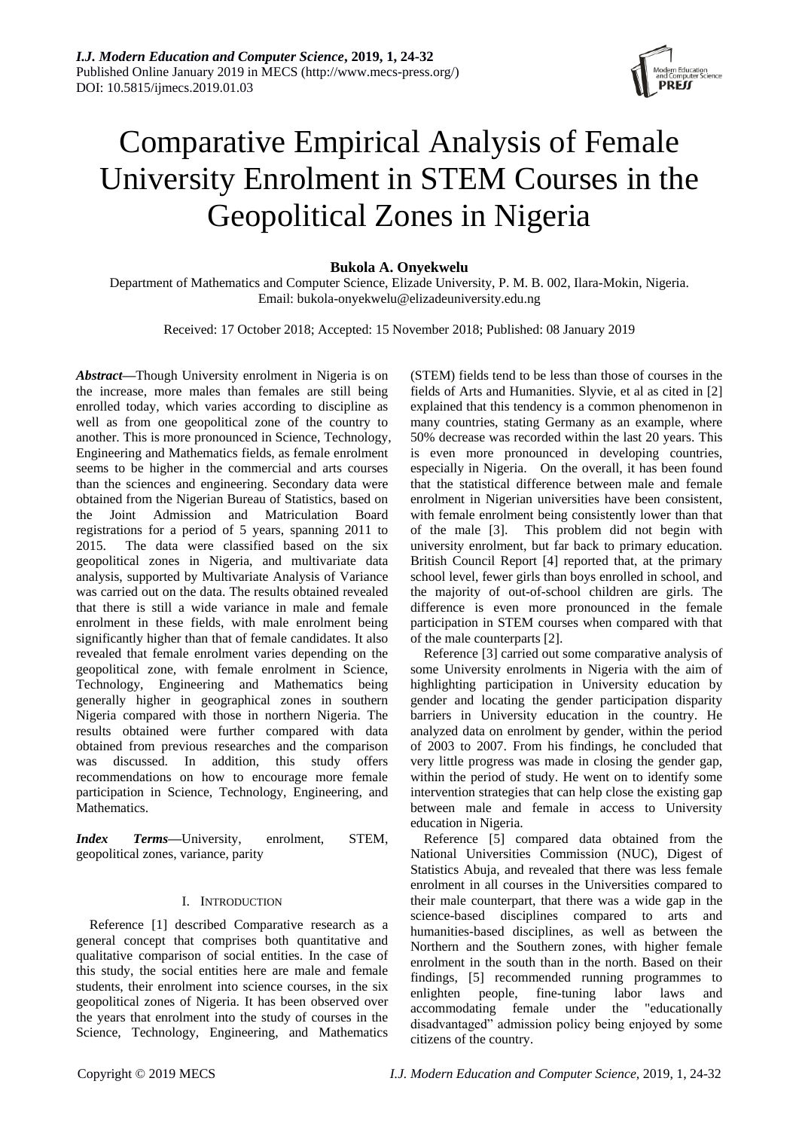# Comparative Empirical Analysis of Female University Enrolment in STEM Courses in the Geopolitical Zones in Nigeria

# **Bukola A. Onyekwelu**

Department of Mathematics and Computer Science, Elizade University, P. M. B. 002, Ilara-Mokin, Nigeria. Email: bukola-onyekwelu@elizadeuniversity.edu.ng

Received: 17 October 2018; Accepted: 15 November 2018; Published: 08 January 2019

*Abstract—*Though University enrolment in Nigeria is on the increase, more males than females are still being enrolled today, which varies according to discipline as well as from one geopolitical zone of the country to another. This is more pronounced in Science, Technology, Engineering and Mathematics fields, as female enrolment seems to be higher in the commercial and arts courses than the sciences and engineering. Secondary data were obtained from the Nigerian Bureau of Statistics, based on the Joint Admission and Matriculation Board registrations for a period of 5 years, spanning 2011 to 2015. The data were classified based on the six geopolitical zones in Nigeria, and multivariate data analysis, supported by Multivariate Analysis of Variance was carried out on the data. The results obtained revealed that there is still a wide variance in male and female enrolment in these fields, with male enrolment being significantly higher than that of female candidates. It also revealed that female enrolment varies depending on the geopolitical zone, with female enrolment in Science, Technology, Engineering and Mathematics being generally higher in geographical zones in southern Nigeria compared with those in northern Nigeria. The results obtained were further compared with data obtained from previous researches and the comparison was discussed. In addition, this study offers recommendations on how to encourage more female participation in Science, Technology, Engineering, and Mathematics.

*Index Terms—*University, enrolment, STEM, geopolitical zones, variance, parity

# I. INTRODUCTION

Reference [1] described Comparative research as a general concept that comprises both quantitative and qualitative comparison of social entities. In the case of this study, the social entities here are male and female students, their enrolment into science courses, in the six geopolitical zones of Nigeria. It has been observed over the years that enrolment into the study of courses in the Science, Technology, Engineering, and Mathematics

(STEM) fields tend to be less than those of courses in the fields of Arts and Humanities. Slyvie, et al as cited in [2] explained that this tendency is a common phenomenon in many countries, stating Germany as an example, where 50% decrease was recorded within the last 20 years. This is even more pronounced in developing countries, especially in Nigeria. On the overall, it has been found that the statistical difference between male and female enrolment in Nigerian universities have been consistent, with female enrolment being consistently lower than that of the male [3]. This problem did not begin with university enrolment, but far back to primary education. British Council Report [4] reported that, at the primary school level, fewer girls than boys enrolled in school, and the majority of out-of-school children are girls. The difference is even more pronounced in the female participation in STEM courses when compared with that of the male counterparts [2].

Reference [3] carried out some comparative analysis of some University enrolments in Nigeria with the aim of highlighting participation in University education by gender and locating the gender participation disparity barriers in University education in the country. He analyzed data on enrolment by gender, within the period of 2003 to 2007. From his findings, he concluded that very little progress was made in closing the gender gap, within the period of study. He went on to identify some intervention strategies that can help close the existing gap between male and female in access to University education in Nigeria.

Reference [5] compared data obtained from the National Universities Commission (NUC), Digest of Statistics Abuja, and revealed that there was less female enrolment in all courses in the Universities compared to their male counterpart, that there was a wide gap in the science-based disciplines compared to arts and humanities-based disciplines, as well as between the Northern and the Southern zones, with higher female enrolment in the south than in the north. Based on their findings, [5] recommended running programmes to enlighten people, fine-tuning labor laws and accommodating female under the "educationally disadvantaged" admission policy being enjoyed by some citizens of the country.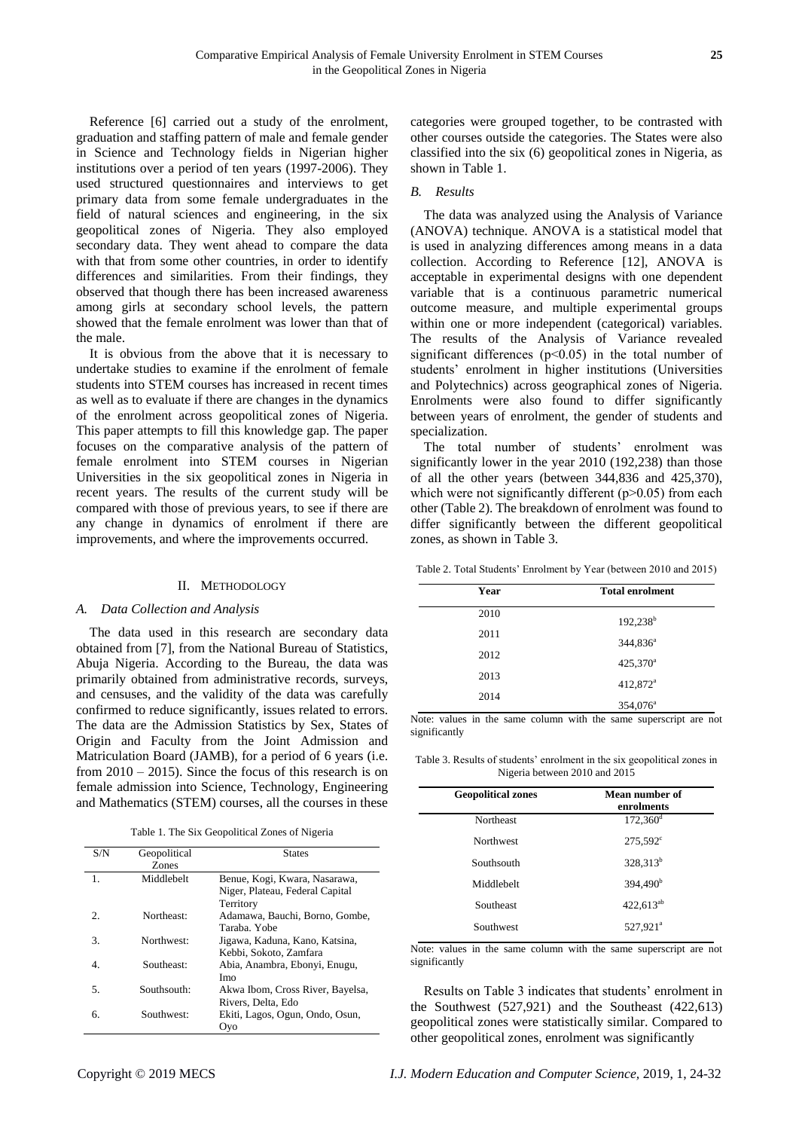Reference [6] carried out a study of the enrolment, graduation and staffing pattern of male and female gender in Science and Technology fields in Nigerian higher institutions over a period of ten years (1997-2006). They used structured questionnaires and interviews to get primary data from some female undergraduates in the field of natural sciences and engineering, in the six geopolitical zones of Nigeria. They also employed secondary data. They went ahead to compare the data with that from some other countries, in order to identify differences and similarities. From their findings, they observed that though there has been increased awareness among girls at secondary school levels, the pattern showed that the female enrolment was lower than that of the male.

It is obvious from the above that it is necessary to undertake studies to examine if the enrolment of female students into STEM courses has increased in recent times as well as to evaluate if there are changes in the dynamics of the enrolment across geopolitical zones of Nigeria. This paper attempts to fill this knowledge gap. The paper focuses on the comparative analysis of the pattern of female enrolment into STEM courses in Nigerian Universities in the six geopolitical zones in Nigeria in recent years. The results of the current study will be compared with those of previous years, to see if there are any change in dynamics of enrolment if there are improvements, and where the improvements occurred.

# II. METHODOLOGY

# *A. Data Collection and Analysis*

The data used in this research are secondary data obtained from [7], from the National Bureau of Statistics, Abuja Nigeria. According to the Bureau, the data was primarily obtained from administrative records, surveys, and censuses, and the validity of the data was carefully confirmed to reduce significantly, issues related to errors. The data are the Admission Statistics by Sex, States of Origin and Faculty from the Joint Admission and Matriculation Board (JAMB), for a period of 6 years (i.e. from  $2010 - 2015$ ). Since the focus of this research is on female admission into Science, Technology, Engineering and Mathematics (STEM) courses, all the courses in these

Table 1. The Six Geopolitical Zones of Nigeria

| S/N            | Geopolitical | <b>States</b>                    |
|----------------|--------------|----------------------------------|
|                | Zones        |                                  |
| $\mathbf{1}$ . | Middlebelt   | Benue, Kogi, Kwara, Nasarawa,    |
|                |              | Niger, Plateau, Federal Capital  |
|                |              | Territory                        |
| 2.             | Northeast:   | Adamawa, Bauchi, Borno, Gombe,   |
|                |              | Taraba. Yobe                     |
| 3.             | Northwest:   | Jigawa, Kaduna, Kano, Katsina,   |
|                |              | Kebbi, Sokoto, Zamfara           |
| 4.             | Southeast:   | Abia, Anambra, Ebonyi, Enugu,    |
|                |              | Imo                              |
| 5.             | Southsouth:  | Akwa Ibom, Cross River, Bayelsa, |
|                |              | Rivers, Delta, Edo               |
| б.             | Southwest:   | Ekiti, Lagos, Ogun, Ondo, Osun,  |
|                |              | Ovo                              |

categories were grouped together, to be contrasted with other courses outside the categories. The States were also classified into the six (6) geopolitical zones in Nigeria, as shown in Table 1.

## *B. Results*

The data was analyzed using the Analysis of Variance (ANOVA) technique. ANOVA is a statistical model that is used in analyzing differences among means in a data collection. According to Reference [12], ANOVA is acceptable in experimental designs with one dependent variable that is a continuous parametric numerical outcome measure, and multiple experimental groups within one or more independent (categorical) variables. The results of the Analysis of Variance revealed significant differences  $(p<0.05)$  in the total number of students' enrolment in higher institutions (Universities and Polytechnics) across geographical zones of Nigeria. Enrolments were also found to differ significantly between years of enrolment, the gender of students and specialization.

The total number of students' enrolment was significantly lower in the year 2010 (192,238) than those of all the other years (between 344,836 and 425,370), which were not significantly different  $(p>0.05)$  from each other (Table 2). The breakdown of enrolment was found to differ significantly between the different geopolitical zones, as shown in Table 3.

Table 2. Total Students' Enrolment by Year (between 2010 and 2015)

| Year | <b>Total enrolment</b> |
|------|------------------------|
| 2010 | $192,238^b$            |
| 2011 | $344,836^a$            |
| 2012 | $425,370^a$            |
| 2013 | 412,872 <sup>a</sup>   |
| 2014 | 354,076 <sup>a</sup>   |

Note: values in the same column with the same superscript are not significantly

Table 3. Results of students' enrolment in the six geopolitical zones in Nigeria between 2010 and 2015

| <b>Geopolitical zones</b> | Mean number of<br>enrolments |
|---------------------------|------------------------------|
| Northeast                 | $172,360$ <sup>d</sup>       |
| <b>Northwest</b>          | $275,592^{\circ}$            |
| Southsouth                | 328,313 <sup>b</sup>         |
| Middlebelt                | 394,490 <sup>b</sup>         |
| Southeast                 | $422.613^{ab}$               |
| Southwest                 | 527,921 <sup>a</sup>         |

Note: values in the same column with the same superscript are not significantly

Results on Table 3 indicates that students' enrolment in the Southwest (527,921) and the Southeast (422,613) geopolitical zones were statistically similar. Compared to other geopolitical zones, enrolment was significantly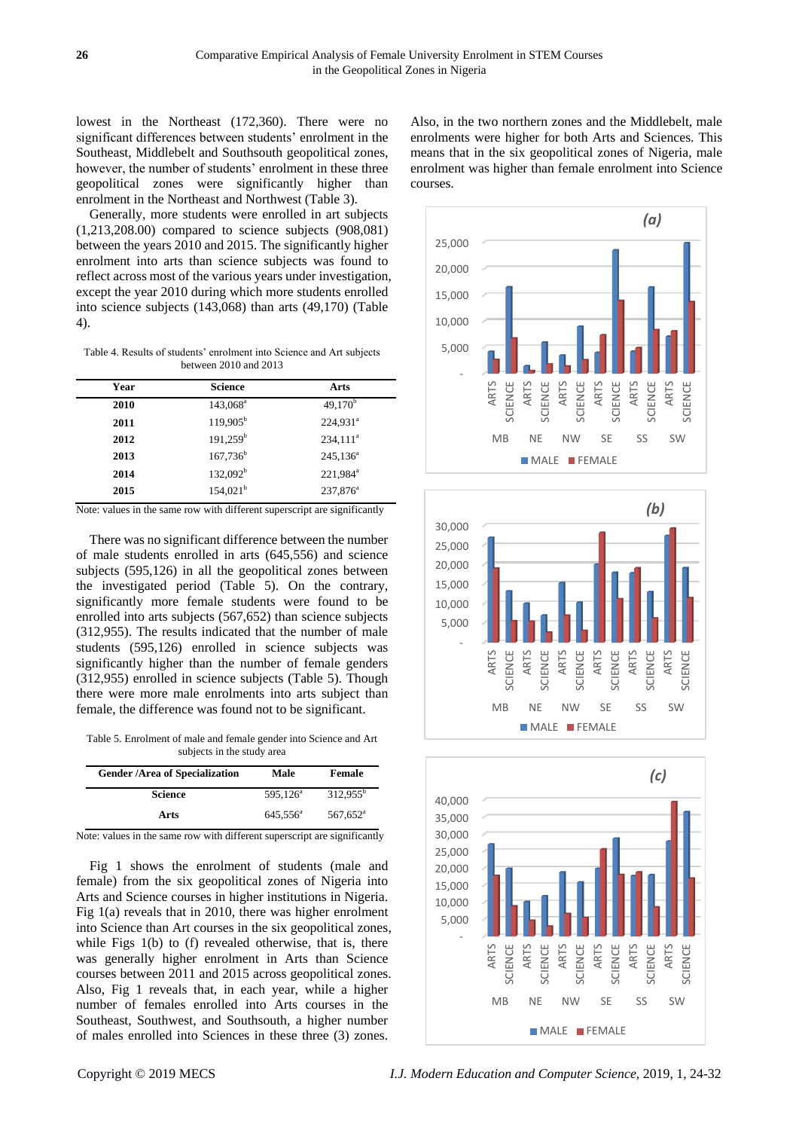lowest in the Northeast (172,360). There were no significant differences between students' enrolment in the Southeast, Middlebelt and Southsouth geopolitical zones, however, the number of students' enrolment in these three geopolitical zones were significantly higher than enrolment in the Northeast and Northwest (Table 3).

Generally, more students were enrolled in art subjects (1,213,208.00) compared to science subjects (908,081) between the years 2010 and 2015. The significantly higher enrolment into arts than science subjects was found to reflect across most of the various years under investigation, except the year 2010 during which more students enrolled into science subjects (143,068) than arts (49,170) (Table 4).

Table 4. Results of students' enrolment into Science and Art subjects between 2010 and 2013

| Year | <b>Science</b>       | Arts                   |
|------|----------------------|------------------------|
| 2010 | 143,068 <sup>ª</sup> | $49,170^b$             |
| 2011 | $119,905^{\rm b}$    | $224.931$ <sup>a</sup> |
| 2012 | $191,259^b$          | $234,111^a$            |
| 2013 | $167,736^b$          | $245,136^a$            |
| 2014 | 132.092 <sup>b</sup> | 221,984 <sup>a</sup>   |
| 2015 | $154,021^{\rm b}$    | $237,876^a$            |

Note: values in the same row with different superscript are significantly

There was no significant difference between the number of male students enrolled in arts (645,556) and science subjects (595,126) in all the geopolitical zones between the investigated period (Table 5). On the contrary, significantly more female students were found to be enrolled into arts subjects (567,652) than science subjects (312,955). The results indicated that the number of male students (595,126) enrolled in science subjects was significantly higher than the number of female genders (312,955) enrolled in science subjects (Table 5). Though there were more male enrolments into arts subject than female, the difference was found not to be significant.

Table 5. Enrolment of male and female gender into Science and Art subjects in the study area

| <b>Gender /Area of Specialization</b> | Male              | Female            |
|---------------------------------------|-------------------|-------------------|
| <b>Science</b>                        | $595.126^{\circ}$ | $312.955^b$       |
| Arts                                  | $645.556^{\circ}$ | $567,652^{\circ}$ |

Note: values in the same row with different superscript are significantly

Fig 1 shows the enrolment of students (male and female) from the six geopolitical zones of Nigeria into Arts and Science courses in higher institutions in Nigeria. Fig 1(a) reveals that in 2010, there was higher enrolment into Science than Art courses in the six geopolitical zones, while Figs 1(b) to (f) revealed otherwise, that is, there was generally higher enrolment in Arts than Science courses between 2011 and 2015 across geopolitical zones. Also, Fig 1 reveals that, in each year, while a higher number of females enrolled into Arts courses in the Southeast, Southwest, and Southsouth, a higher number of males enrolled into Sciences in these three (3) zones.

Also, in the two northern zones and the Middlebelt, male enrolments were higher for both Arts and Sciences. This means that in the six geopolitical zones of Nigeria, male enrolment was higher than female enrolment into Science courses.







Copyright © 2019 MECS *I.J. Modern Education and Computer Science,* 2019, 1, 24-32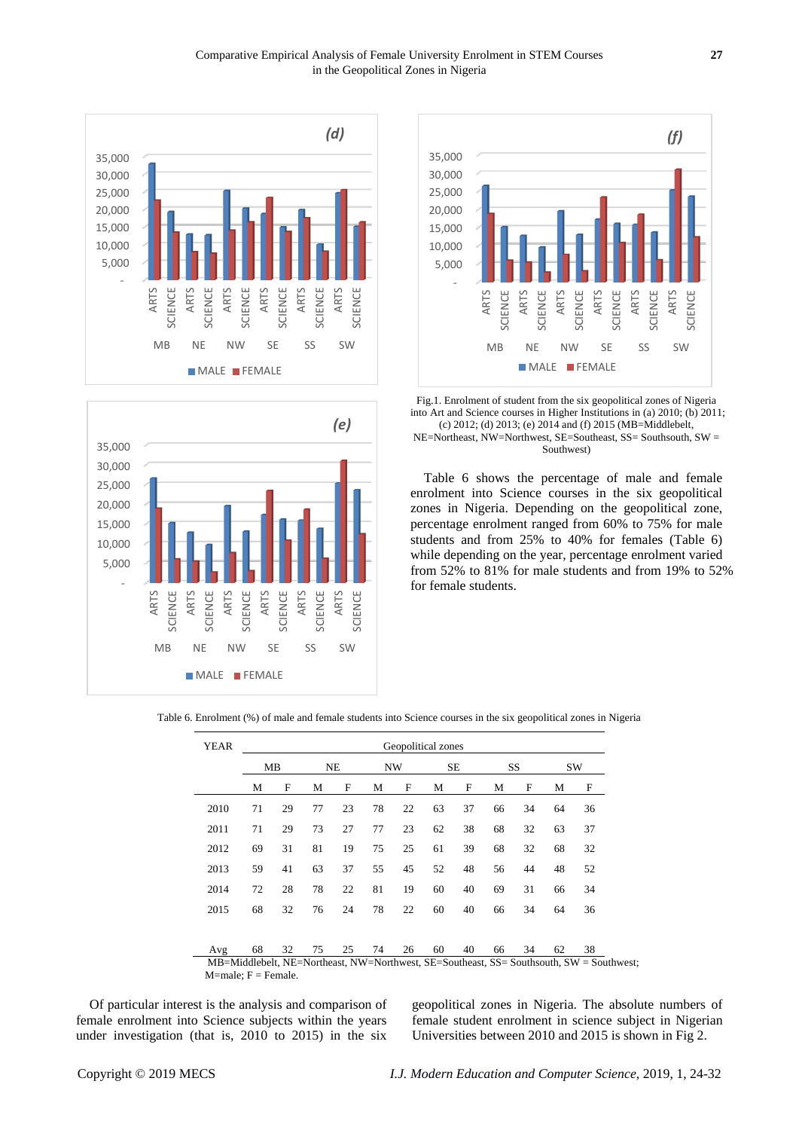





Fig.1. Enrolment of student from the six geopolitical zones of Nigeria into Art and Science courses in Higher Institutions in (a) 2010; (b) 2011; (c) 2012; (d) 2013; (e) 2014 and (f) 2015 (MB=Middlebelt, NE=Northeast, NW=Northwest, SE=Southeast, SS= Southsouth, SW = Southwest)

Table 6 shows the percentage of male and female enrolment into Science courses in the six geopolitical zones in Nigeria. Depending on the geopolitical zone, percentage enrolment ranged from 60% to 75% for male students and from 25% to 40% for females (Table 6) while depending on the year, percentage enrolment varied from 52% to 81% for male students and from 19% to 52% for female students.

Table 6. Enrolment (%) of male and female students into Science courses in the six geopolitical zones in Nigeria

|      |    | MВ<br><b>NE</b> |    |    | NW |    | SE |    | SS |    | SW |    |
|------|----|-----------------|----|----|----|----|----|----|----|----|----|----|
|      | М  | F               | М  | F  | М  | F  | М  | F  | М  | F  | М  | F  |
| 2010 | 71 | 29              | 77 | 23 | 78 | 22 | 63 | 37 | 66 | 34 | 64 | 36 |
| 2011 | 71 | 29              | 73 | 27 | 77 | 23 | 62 | 38 | 68 | 32 | 63 | 37 |
| 2012 | 69 | 31              | 81 | 19 | 75 | 25 | 61 | 39 | 68 | 32 | 68 | 32 |
| 2013 | 59 | 41              | 63 | 37 | 55 | 45 | 52 | 48 | 56 | 44 | 48 | 52 |
| 2014 | 72 | 28              | 78 | 22 | 81 | 19 | 60 | 40 | 69 | 31 | 66 | 34 |
| 2015 | 68 | 32              | 76 | 24 | 78 | 22 | 60 | 40 | 66 | 34 | 64 | 36 |
| Avg  | 68 | 32              | 75 | 25 | 74 | 26 | 60 | 40 | 66 | 34 | 62 | 38 |

Of particular interest is the analysis and comparison of female enrolment into Science subjects within the years under investigation (that is, 2010 to 2015) in the six geopolitical zones in Nigeria. The absolute numbers of female student enrolment in science subject in Nigerian Universities between 2010 and 2015 is shown in Fig 2.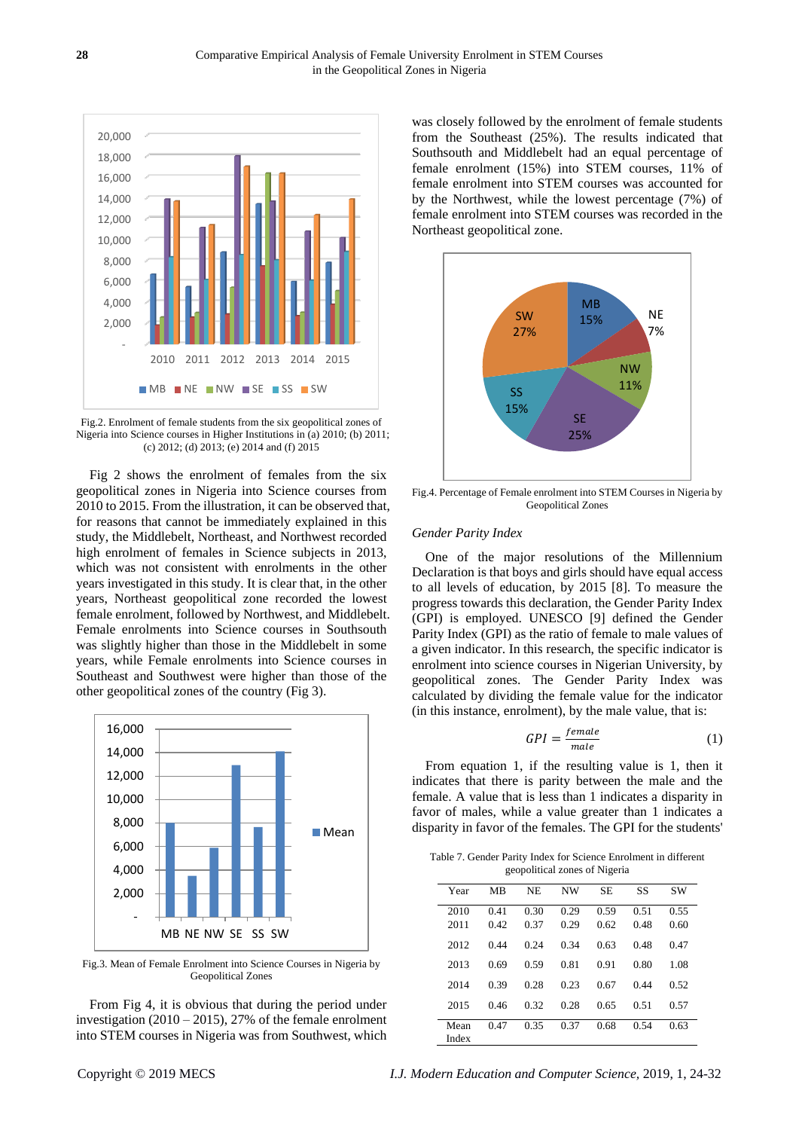

Fig.2. Enrolment of female students from the six geopolitical zones of Nigeria into Science courses in Higher Institutions in (a) 2010; (b) 2011; (c) 2012; (d) 2013; (e) 2014 and (f) 2015

Fig 2 shows the enrolment of females from the six geopolitical zones in Nigeria into Science courses from 2010 to 2015. From the illustration, it can be observed that, for reasons that cannot be immediately explained in this study, the Middlebelt, Northeast, and Northwest recorded high enrolment of females in Science subjects in 2013, which was not consistent with enrolments in the other years investigated in this study. It is clear that, in the other years, Northeast geopolitical zone recorded the lowest female enrolment, followed by Northwest, and Middlebelt. Female enrolments into Science courses in Southsouth was slightly higher than those in the Middlebelt in some years, while Female enrolments into Science courses in Southeast and Southwest were higher than those of the other geopolitical zones of the country (Fig 3).



Fig.3. Mean of Female Enrolment into Science Courses in Nigeria by Geopolitical Zones

From Fig 4, it is obvious that during the period under investigation (2010 – 2015), 27% of the female enrolment into STEM courses in Nigeria was from Southwest, which

was closely followed by the enrolment of female students from the Southeast (25%). The results indicated that Southsouth and Middlebelt had an equal percentage of female enrolment (15%) into STEM courses, 11% of female enrolment into STEM courses was accounted for by the Northwest, while the lowest percentage (7%) of female enrolment into STEM courses was recorded in the Northeast geopolitical zone.



Fig.4. Percentage of Female enrolment into STEM Courses in Nigeria by Geopolitical Zones

#### *Gender Parity Index*

One of the major resolutions of the Millennium Declaration is that boys and girls should have equal access to all levels of education, by 2015 [8]. To measure the progress towards this declaration, the Gender Parity Index (GPI) is employed. UNESCO [9] defined the Gender Parity Index (GPI) as the ratio of female to male values of a given indicator. In this research, the specific indicator is enrolment into science courses in Nigerian University, by geopolitical zones. The Gender Parity Index was calculated by dividing the female value for the indicator (in this instance, enrolment), by the male value, that is:

$$
GPI = \frac{female}{male} \tag{1}
$$

From equation 1, if the resulting value is 1, then it indicates that there is parity between the male and the female. A value that is less than 1 indicates a disparity in favor of males, while a value greater than 1 indicates a disparity in favor of the females. The GPI for the students'

Table 7. Gender Parity Index for Science Enrolment in different geopolitical zones of Nigeria

| Year          | MB           | NE           | <b>NW</b>    | <b>SE</b>    | SS           | <b>SW</b>    |
|---------------|--------------|--------------|--------------|--------------|--------------|--------------|
| 2010<br>2011  | 0.41<br>0.42 | 0.30<br>0.37 | 0.29<br>0.29 | 0.59<br>0.62 | 0.51<br>0.48 | 0.55<br>0.60 |
| 2012          | 0.44         | 0.24         | 0.34         | 0.63         | 0.48         | 0.47         |
| 2013          | 0.69         | 0.59         | 0.81         | 0.91         | 0.80         | 1.08         |
| 2014          | 0.39         | 0.28         | 0.23         | 0.67         | 0.44         | 0.52         |
| 2015          | 0.46         | 0.32         | 0.28         | 0.65         | 0.51         | 0.57         |
| Mean<br>Index | 0.47         | 0.35         | 0.37         | 0.68         | 0.54         | 0.63         |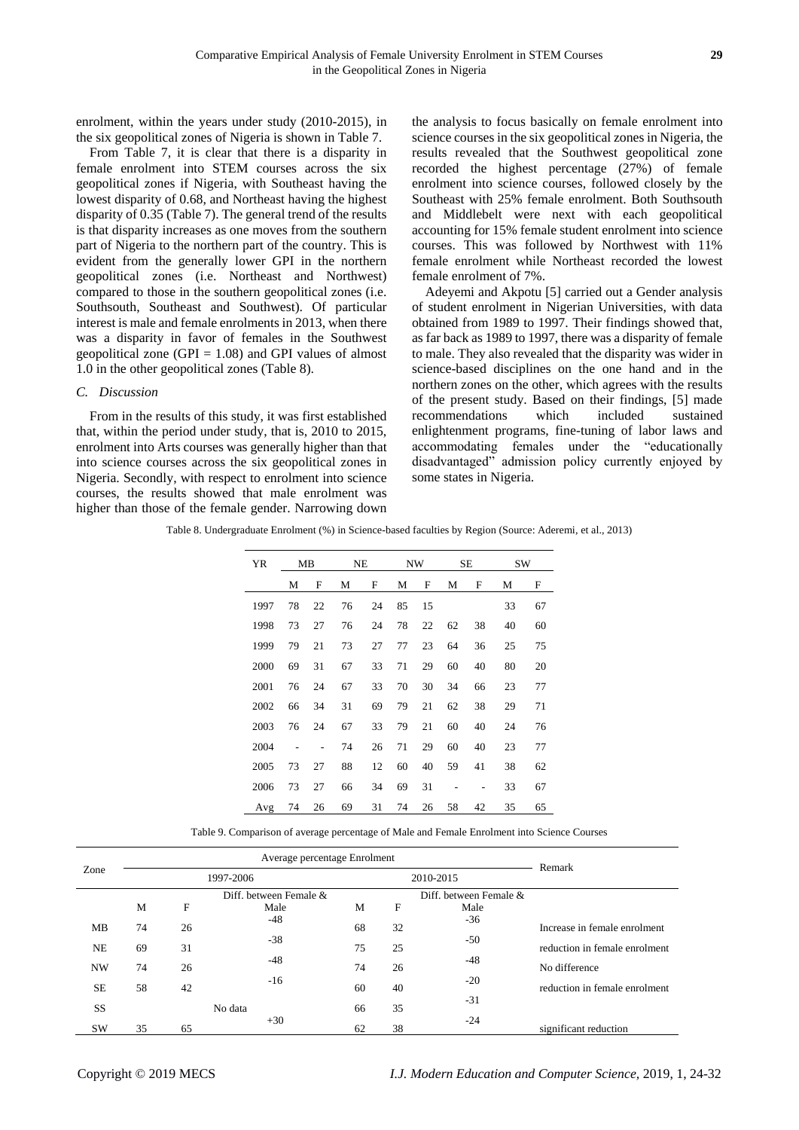enrolment, within the years under study (2010-2015), in the six geopolitical zones of Nigeria is shown in Table 7.

From Table 7, it is clear that there is a disparity in female enrolment into STEM courses across the six geopolitical zones if Nigeria, with Southeast having the lowest disparity of 0.68, and Northeast having the highest disparity of 0.35 (Table 7). The general trend of the results is that disparity increases as one moves from the southern part of Nigeria to the northern part of the country. This is evident from the generally lower GPI in the northern geopolitical zones (i.e. Northeast and Northwest) compared to those in the southern geopolitical zones (i.e. Southsouth, Southeast and Southwest). Of particular interest is male and female enrolments in 2013, when there was a disparity in favor of females in the Southwest geopolitical zone (GPI  $= 1.08$ ) and GPI values of almost 1.0 in the other geopolitical zones (Table 8).

# *C. Discussion*

From in the results of this study, it was first established that, within the period under study, that is, 2010 to 2015, enrolment into Arts courses was generally higher than that into science courses across the six geopolitical zones in Nigeria. Secondly, with respect to enrolment into science courses, the results showed that male enrolment was higher than those of the female gender. Narrowing down

the analysis to focus basically on female enrolment into science courses in the six geopolitical zones in Nigeria, the results revealed that the Southwest geopolitical zone recorded the highest percentage (27%) of female enrolment into science courses, followed closely by the Southeast with 25% female enrolment. Both Southsouth and Middlebelt were next with each geopolitical accounting for 15% female student enrolment into science courses. This was followed by Northwest with 11% female enrolment while Northeast recorded the lowest female enrolment of 7%.

Adeyemi and Akpotu [5] carried out a Gender analysis of student enrolment in Nigerian Universities, with data obtained from 1989 to 1997. Their findings showed that, as far back as 1989 to 1997, there was a disparity of female to male. They also revealed that the disparity was wider in science-based disciplines on the one hand and in the northern zones on the other, which agrees with the results of the present study. Based on their findings, [5] made recommendations which included sustained enlightenment programs, fine-tuning of labor laws and accommodating females under the "educationally disadvantaged" admission policy currently enjoyed by some states in Nigeria.

Table 8. Undergraduate Enrolment (%) in Science-based faculties by Region (Source: Aderemi, et al., 2013)

| <b>YR</b> |    | <b>NE</b><br>SЕ<br>MB<br>NW |    |    | <b>SW</b> |    |    |    |    |    |
|-----------|----|-----------------------------|----|----|-----------|----|----|----|----|----|
|           | М  | F                           | М  | F  | М         | F  | М  | F  | М  | F  |
| 1997      | 78 | 22                          | 76 | 24 | 85        | 15 |    |    | 33 | 67 |
| 1998      | 73 | 27                          | 76 | 24 | 78        | 22 | 62 | 38 | 40 | 60 |
| 1999      | 79 | 21                          | 73 | 27 | 77        | 23 | 64 | 36 | 25 | 75 |
| 2000      | 69 | 31                          | 67 | 33 | 71        | 29 | 60 | 40 | 80 | 20 |
| 2001      | 76 | 24                          | 67 | 33 | 70        | 30 | 34 | 66 | 23 | 77 |
| 2002      | 66 | 34                          | 31 | 69 | 79        | 21 | 62 | 38 | 29 | 71 |
| 2003      | 76 | 24                          | 67 | 33 | 79        | 21 | 60 | 40 | 24 | 76 |
| 2004      |    |                             | 74 | 26 | 71        | 29 | 60 | 40 | 23 | 77 |
| 2005      | 73 | 27                          | 88 | 12 | 60        | 40 | 59 | 41 | 38 | 62 |
| 2006      | 73 | 27                          | 66 | 34 | 69        | 31 |    |    | 33 | 67 |
| Avg       | 74 | 26                          | 69 | 31 | 74        | 26 | 58 | 42 | 35 | 65 |

Table 9. Comparison of average percentage of Male and Female Enrolment into Science Courses

|           |           |    | Remark                 |    |    |                        |                               |  |
|-----------|-----------|----|------------------------|----|----|------------------------|-------------------------------|--|
| Zone      | 1997-2006 |    |                        |    |    | 2010-2015              |                               |  |
|           |           |    | Diff. between Female & |    |    | Diff. between Female & |                               |  |
|           | M         | F  | Male                   | М  | F  | Male                   |                               |  |
| MB        | 74        | 26 | $-48$                  | 68 | 32 | $-36$                  | Increase in female enrolment  |  |
| <b>NE</b> | 69        | 31 | $-38$                  | 75 | 25 | $-50$                  | reduction in female enrolment |  |
| <b>NW</b> | 74        | 26 | $-48$                  | 74 | 26 | $-48$                  | No difference                 |  |
| <b>SE</b> | 58        | 42 | $-16$                  | 60 | 40 | $-20$                  | reduction in female enrolment |  |
| SS        |           |    | No data                | 66 | 35 | $-31$                  |                               |  |
| <b>SW</b> | 35        | 65 | $+30$                  | 62 | 38 | $-24$                  | significant reduction         |  |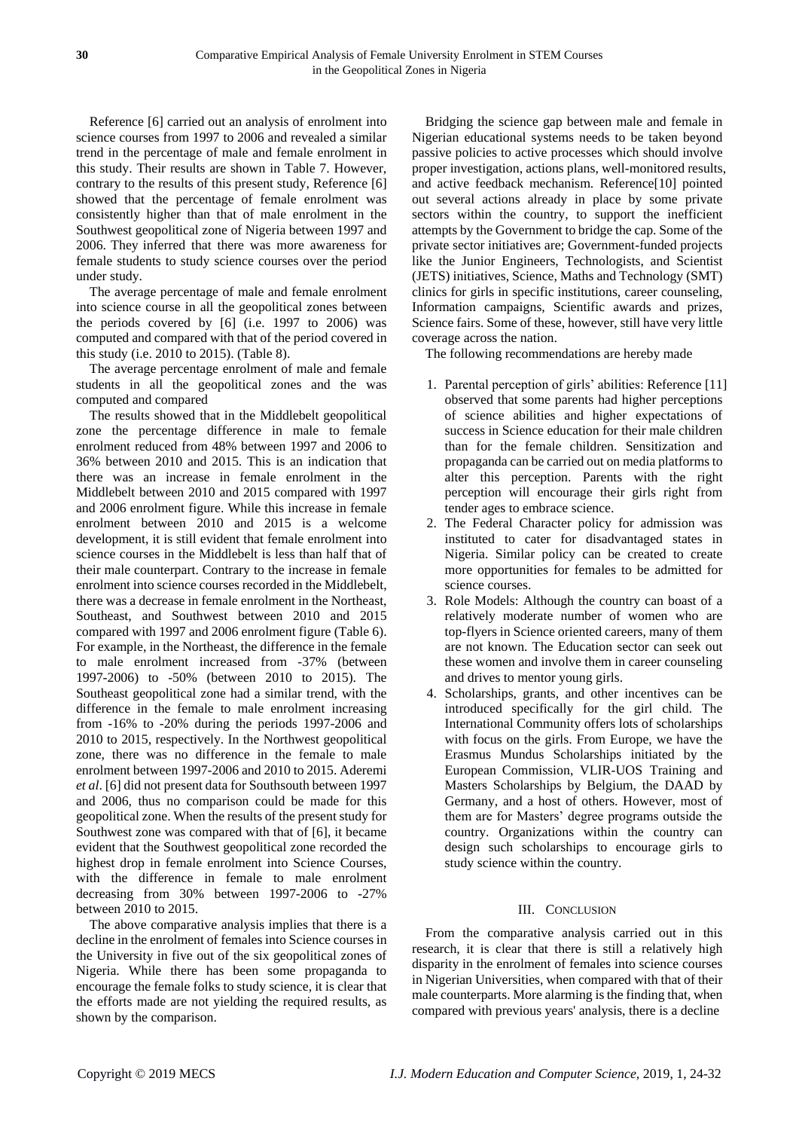Reference [6] carried out an analysis of enrolment into science courses from 1997 to 2006 and revealed a similar trend in the percentage of male and female enrolment in this study. Their results are shown in Table 7. However, contrary to the results of this present study, Reference [6] showed that the percentage of female enrolment was consistently higher than that of male enrolment in the Southwest geopolitical zone of Nigeria between 1997 and 2006. They inferred that there was more awareness for female students to study science courses over the period under study.

The average percentage of male and female enrolment into science course in all the geopolitical zones between the periods covered by [6] (i.e. 1997 to 2006) was computed and compared with that of the period covered in this study (i.e. 2010 to 2015). (Table 8).

The average percentage enrolment of male and female students in all the geopolitical zones and the was computed and compared

The results showed that in the Middlebelt geopolitical zone the percentage difference in male to female enrolment reduced from 48% between 1997 and 2006 to 36% between 2010 and 2015. This is an indication that there was an increase in female enrolment in the Middlebelt between 2010 and 2015 compared with 1997 and 2006 enrolment figure. While this increase in female enrolment between 2010 and 2015 is a welcome development, it is still evident that female enrolment into science courses in the Middlebelt is less than half that of their male counterpart. Contrary to the increase in female enrolment into science courses recorded in the Middlebelt, there was a decrease in female enrolment in the Northeast, Southeast, and Southwest between 2010 and 2015 compared with 1997 and 2006 enrolment figure (Table 6). For example, in the Northeast, the difference in the female to male enrolment increased from -37% (between 1997-2006) to -50% (between 2010 to 2015). The Southeast geopolitical zone had a similar trend, with the difference in the female to male enrolment increasing from -16% to -20% during the periods 1997-2006 and 2010 to 2015, respectively. In the Northwest geopolitical zone, there was no difference in the female to male enrolment between 1997-2006 and 2010 to 2015. Aderemi *et al*. [6] did not present data for Southsouth between 1997 and 2006, thus no comparison could be made for this geopolitical zone. When the results of the present study for Southwest zone was compared with that of [6], it became evident that the Southwest geopolitical zone recorded the highest drop in female enrolment into Science Courses, with the difference in female to male enrolment decreasing from 30% between 1997-2006 to -27% between 2010 to 2015.

The above comparative analysis implies that there is a decline in the enrolment of females into Science courses in the University in five out of the six geopolitical zones of Nigeria. While there has been some propaganda to encourage the female folks to study science, it is clear that the efforts made are not yielding the required results, as shown by the comparison.

Bridging the science gap between male and female in Nigerian educational systems needs to be taken beyond passive policies to active processes which should involve proper investigation, actions plans, well-monitored results, and active feedback mechanism. Reference[10] pointed out several actions already in place by some private sectors within the country, to support the inefficient attempts by the Government to bridge the cap. Some of the private sector initiatives are; Government-funded projects like the Junior Engineers, Technologists, and Scientist (JETS) initiatives, Science, Maths and Technology (SMT) clinics for girls in specific institutions, career counseling, Information campaigns, Scientific awards and prizes, Science fairs. Some of these, however, still have very little coverage across the nation.

The following recommendations are hereby made

- 1. Parental perception of girls' abilities: Reference [11] observed that some parents had higher perceptions of science abilities and higher expectations of success in Science education for their male children than for the female children. Sensitization and propaganda can be carried out on media platforms to alter this perception. Parents with the right perception will encourage their girls right from tender ages to embrace science.
- 2. The Federal Character policy for admission was instituted to cater for disadvantaged states in Nigeria. Similar policy can be created to create more opportunities for females to be admitted for science courses.
- 3. Role Models: Although the country can boast of a relatively moderate number of women who are top-flyers in Science oriented careers, many of them are not known. The Education sector can seek out these women and involve them in career counseling and drives to mentor young girls.
- 4. Scholarships, grants, and other incentives can be introduced specifically for the girl child. The International Community offers lots of scholarships with focus on the girls. From Europe, we have the Erasmus Mundus Scholarships initiated by the European Commission, [VLIR-UOS](http://www.vliruos.be/scholarships) Training and Masters [Scholarships](http://www.vliruos.be/scholarships) by Belgium, the DAAD by Germany, and a host of others. However, most of them are for Masters' degree programs outside the country. Organizations within the country can design such scholarships to encourage girls to study science within the country.

# III. CONCLUSION

From the comparative analysis carried out in this research, it is clear that there is still a relatively high disparity in the enrolment of females into science courses in Nigerian Universities, when compared with that of their male counterparts. More alarming is the finding that, when compared with previous years' analysis, there is a decline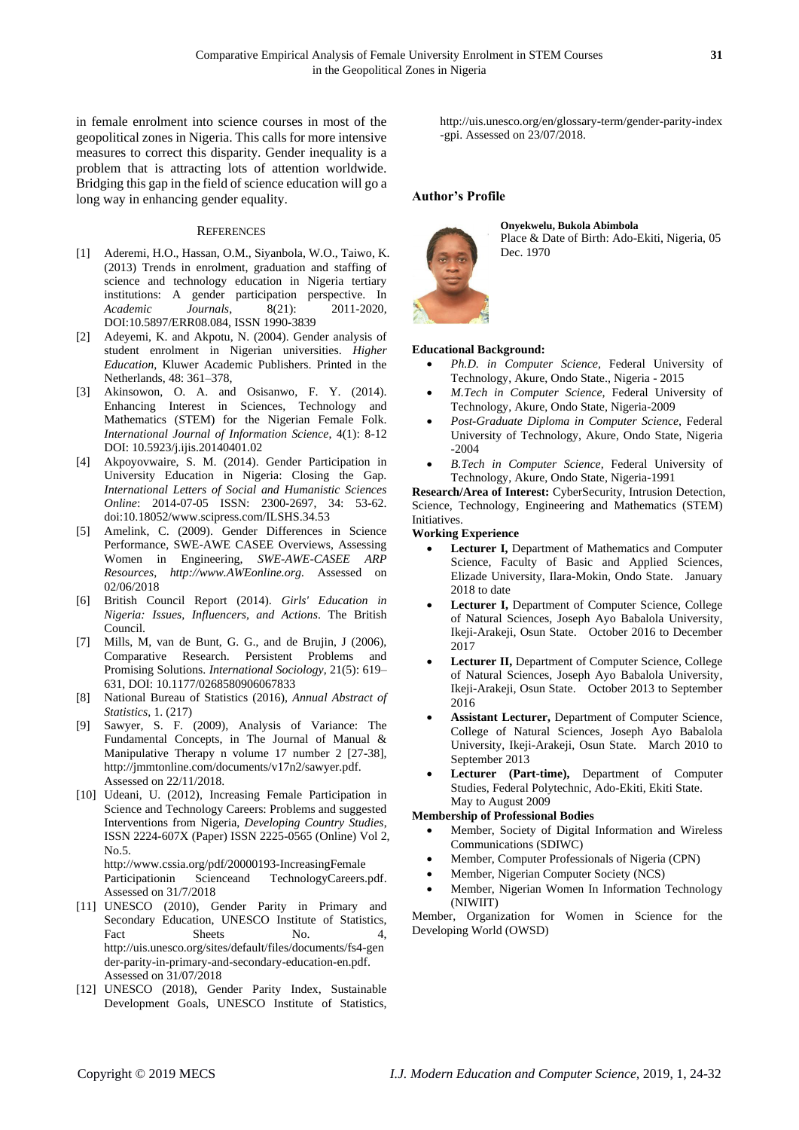in female enrolment into science courses in most of the geopolitical zones in Nigeria. This calls for more intensive measures to correct this disparity. Gender inequality is a problem that is attracting lots of attention worldwide. Bridging this gap in the field of science education will go a long way in enhancing gender equality.

## **REFERENCES**

- [1] Aderemi, H.O., Hassan, O.M., Siyanbola, W.O., Taiwo, K. (2013) Trends in enrolment, graduation and staffing of science and technology education in Nigeria tertiary institutions: A gender participation perspective. In *Academic Journals*, 8(21): 2011-2020, DOI:10.5897/ERR08.084, ISSN 1990-3839
- [2] Adeyemi, K. and Akpotu, N. (2004). Gender analysis of student enrolment in Nigerian universities. *Higher Education*, Kluwer Academic Publishers. Printed in the Netherlands, 48: 361–378,
- [3] Akinsowon, O. A. and Osisanwo, F. Y. (2014). Enhancing Interest in Sciences, Technology and Mathematics (STEM) for the Nigerian Female Folk. *International Journal of Information Science*, 4(1): 8-12 DOI: 10.5923/j.ijis.20140401.02
- [4] Akpoyovwaire, S. M. (2014). Gender Participation in University Education in Nigeria: Closing the Gap. *International Letters of Social and Humanistic Sciences Online*: 2014-07-05 ISSN: 2300-2697, 34: 53-62. doi:10.18052/www.scipress.com/ILSHS.34.53
- [5] Amelink, C. (2009). Gender Differences in Science Performance, SWE-AWE CASEE Overviews, Assessing Women in Engineering, *SWE-AWE-CASEE ARP Resources*, *[http://www.AWEonline.org.](http://www.aweonline.org/)* Assessed on 02/06/2018
- [6] British Council Report (2014). *Girls' Education in Nigeria: Issues, Influencers, and Actions*. The British Council.
- [7] Mills, M, van de Bunt, G. G., and de Brujin, J (2006), Comparative Research. Persistent Problems and Promising Solutions. *International Sociology*, 21(5): 619– 631, DOI: 10.1177/0268580906067833
- [8] National Bureau of Statistics (2016), *Annual Abstract of Statistics*, 1. (217)
- [9] Sawyer, S. F. (2009), Analysis of Variance: The Fundamental Concepts, in The Journal of Manual & Manipulative Therapy n volume 17 number 2 [27-38], [http://jmmtonline.com/documents/v17n2/sawyer.pdf.](http://jmmtonline.com/documents/v17n2/sawyer.pdf) Assessed on 22/11/2018.
- [10] Udeani, U. (2012), Increasing Female Participation in Science and Technology Careers: Problems and suggested Interventions from Nigeria, *Developing Country Studies*, ISSN 2224-607X (Paper) ISSN 2225-0565 (Online) Vol 2, No.5. [http://www.cssia.org/pdf/20000193-IncreasingFemale](http://www.cssia.org/pdf/20000193-IncreasingFemale%20Participationin%20Scienceand%20TechnologyCareers.pdf)

[Participationin Scienceand TechnologyCareers.pdf.](http://www.cssia.org/pdf/20000193-IncreasingFemale%20Participationin%20Scienceand%20TechnologyCareers.pdf) Assessed on 31/7/2018

- [11] UNESCO (2010), Gender Parity in Primary and Secondary Education, UNESCO Institute of Statistics, Fact Sheets No. 4, [http://uis.unesco.org/sites/default/files/documents/fs4-gen](http://uis.unesco.org/sites/default/files/documents/fs4-gender-parity-in-primary-and-secondary-education-en.pdf) [der-parity-in-primary-and-secondary-education-en.pdf.](http://uis.unesco.org/sites/default/files/documents/fs4-gender-parity-in-primary-and-secondary-education-en.pdf) Assessed on 31/07/2018
- [12] UNESCO (2018), Gender Parity Index, Sustainable Development Goals, UNESCO Institute of Statistics,

[http://uis.unesco.org/en/glossary-term/gender-parity-index](http://uis.unesco.org/en/glossary-term/gender-parity-index-gpi) [-gpi.](http://uis.unesco.org/en/glossary-term/gender-parity-index-gpi) Assessed on 23/07/2018.

# **Author's Profile**



**Onyekwelu, Bukola Abimbola**

Place & Date of Birth: Ado-Ekiti, Nigeria, 05 Dec. 1970

# **Educational Background:**

- *Ph.D. in Computer Science,* Federal University of Technology, Akure, Ondo State., Nigeria - 2015
- *M.Tech in Computer Science,* Federal University of Technology, Akure, Ondo State, Nigeria-2009
- *Post-Graduate Diploma in Computer Science,* Federal University of Technology, Akure, Ondo State, Nigeria -2004
- *B.Tech in Computer Science,* Federal University of Technology, Akure, Ondo State, Nigeria-1991

**Research/Area of Interest:** CyberSecurity, Intrusion Detection, Science, Technology, Engineering and Mathematics (STEM) Initiatives.

## **Working Experience**

- **Lecturer I,** Department of Mathematics and Computer Science, Faculty of Basic and Applied Sciences, Elizade University, Ilara-Mokin, Ondo State. January 2018 to date
- **Lecturer I,** Department of Computer Science, College of Natural Sciences, Joseph Ayo Babalola University, Ikeji-Arakeji, Osun State. October 2016 to December 2017
- **Lecturer II,** Department of Computer Science, College of Natural Sciences, Joseph Ayo Babalola University, Ikeji-Arakeji, Osun State. October 2013 to September 2016
- **Assistant Lecturer,** Department of Computer Science, College of Natural Sciences, Joseph Ayo Babalola University, Ikeji-Arakeji, Osun State. March 2010 to September 2013
- **Lecturer (Part-time),** Department of Computer Studies, Federal Polytechnic, Ado-Ekiti, Ekiti State. May to August 2009

#### **Membership of Professional Bodies**

- Member, Society of Digital Information and Wireless Communications (SDIWC)
- Member, Computer Professionals of Nigeria (CPN)
- Member, Nigerian Computer Society (NCS)
- Member, Nigerian Women In Information Technology (NIWIIT)

Member, Organization for Women in Science for the Developing World (OWSD)